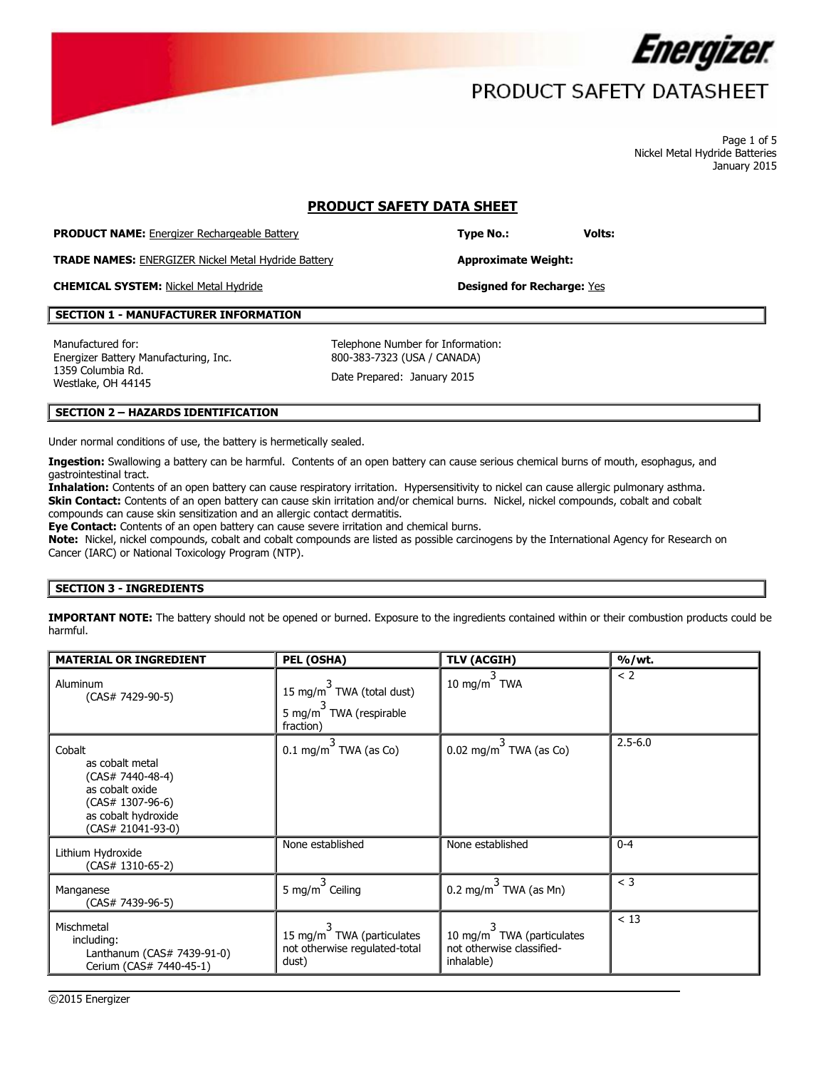

Page 1 of 5 Nickel Metal Hydride Batteries January 2015

## **PRODUCT SAFETY DATA SHEET**

**PRODUCT NAME:** Energizer Rechargeable Battery **Type No.: Type No.: Volts:** 

**TRADE NAMES:** ENERGIZER Nickel Metal Hydride Battery **Approximate Weight:**

**CHEMICAL SYSTEM:** Nickel Metal Hydride **Designed for Recharge:** Yes

### **SECTION 1 - MANUFACTURER INFORMATION**

Manufactured for: Energizer Battery Manufacturing, Inc. 1359 Columbia Rd. 1359 Columbia Ru.<br>Westlake, OH 44145 Date Prepared: January 2015

Telephone Number for Information: 800-383-7323 (USA / CANADA)

### **SECTION 2 – HAZARDS IDENTIFICATION**

Under normal conditions of use, the battery is hermetically sealed.

**Ingestion:** Swallowing a battery can be harmful. Contents of an open battery can cause serious chemical burns of mouth, esophagus, and gastrointestinal tract.

**Inhalation:** Contents of an open battery can cause respiratory irritation. Hypersensitivity to nickel can cause allergic pulmonary asthma. **Skin Contact:** Contents of an open battery can cause skin irritation and/or chemical burns. Nickel, nickel compounds, cobalt and cobalt compounds can cause skin sensitization and an allergic contact dermatitis.

**Eye Contact:** Contents of an open battery can cause severe irritation and chemical burns.

**Note:** Nickel, nickel compounds, cobalt and cobalt compounds are listed as possible carcinogens by the International Agency for Research on Cancer (IARC) or National Toxicology Program (NTP).

#### **SECTION 3 - INGREDIENTS**

**IMPORTANT NOTE:** The battery should not be opened or burned. Exposure to the ingredients contained within or their combustion products could be harmful.

| <b>MATERIAL OR INGREDIENT</b>                                                                                                        | PEL (OSHA)                                                          | <b>TLV (ACGIH)</b>                                                   | % / wt.     |
|--------------------------------------------------------------------------------------------------------------------------------------|---------------------------------------------------------------------|----------------------------------------------------------------------|-------------|
| Aluminum<br>$(CAS# 7429-90-5)$                                                                                                       | 15 mg/m TWA (total dust)<br>5 mg/m TWA (respirable<br>fraction)     | 10 mg/m $3$ TWA                                                      | < 2         |
| Cobalt<br>as cobalt metal<br>$(CAS# 7440-48-4)$<br>as cobalt oxide<br>$(CAS# 1307-96-6)$<br>as cobalt hydroxide<br>(CAS# 21041-93-0) | $0.1 \text{ mg/m}^3$ TWA (as Co)                                    | $0.02 \text{ mg/m}^3$ TWA (as Co)                                    | $2.5 - 6.0$ |
| Lithium Hydroxide<br>$(CAS# 1310-65-2)$                                                                                              | None established                                                    | None established                                                     | $0 - 4$     |
| Manganese<br>(CAS# 7439-96-5)                                                                                                        | 5 mg/m <sup>3</sup> Ceiling                                         | 0.2 mg/m $^3$ TWA (as Mn)                                            | $<$ 3       |
| Mischmetal<br>including:<br>Lanthanum (CAS# 7439-91-0)<br>Cerium (CAS# 7440-45-1)                                                    | 15 mg/m TWA (particulates<br>not otherwise regulated-total<br>dust) | 10 mg/m TWA (particulates<br>not otherwise classified-<br>inhalable) | $<$ 13      |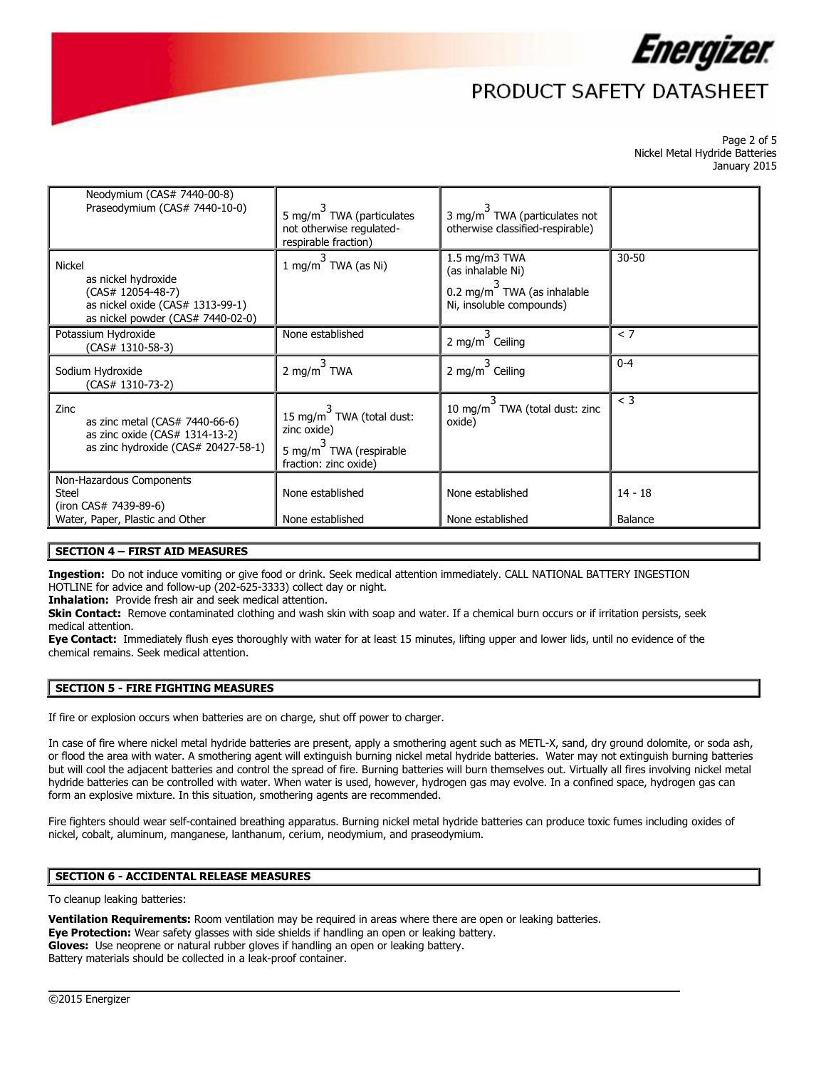

Page 2 of 5 Nickel Metal Hydride Batteries January 2015

| Neodymium (CAS# 7440-00-8)<br>Praseodymium (CAS# 7440-10-0)                                                                        | 5 mg/m <sup>7</sup> TWA (particulates<br>not otherwise regulated-<br>respirable fraction)                               | 3 mg/m <sup>3</sup> TWA (particulates not<br>otherwise classified-respirable)                    |                      |
|------------------------------------------------------------------------------------------------------------------------------------|-------------------------------------------------------------------------------------------------------------------------|--------------------------------------------------------------------------------------------------|----------------------|
| <b>Nickel</b><br>as nickel hydroxide<br>(CAS# 12054-48-7)<br>as nickel oxide (CAS# 1313-99-1)<br>as nickel powder (CAS# 7440-02-0) | 1 mg/m $\overline{\phantom{a}}$ TWA (as Ni)                                                                             | 1.5 mg/m3 TWA<br>(as inhalable Ni)<br>0.2 mg/m $3$ TWA (as inhalable<br>Ni, insoluble compounds) | $30 - 50$            |
| Potassium Hydroxide<br>$(CAS# 1310-58-3)$                                                                                          | None established                                                                                                        | 3.<br>2 mg/m Ceiling                                                                             | < 7                  |
| Sodium Hydroxide<br>(CAS# 1310-73-2)                                                                                               | 2 mg/m $^3$ TWA                                                                                                         | 2 mg/m $^3$ Ceiling                                                                              | $0 - 4$              |
| Zinc<br>as zinc metal (CAS# 7440-66-6)<br>as zinc oxide (CAS# 1314-13-2)<br>as zinc hydroxide (CAS# 20427-58-1)                    | 15 mg/m <sup><math>\sim</math></sup> TWA (total dust:<br>zinc oxide)<br>5 mg/m TWA (respirable<br>fraction: zinc oxide) | 10 mg/m <sup>3</sup> TWA (total dust: zinc<br>oxide)                                             | $<$ 3                |
| Non-Hazardous Components<br><b>Steel</b><br>(iron CAS# 7439-89-6)<br>Water, Paper, Plastic and Other                               | None established<br>None established                                                                                    | None established<br>None established                                                             | $14 - 18$<br>Balance |

#### **SECTION 4 – FIRST AID MEASURES**

**Ingestion:** Do not induce vomiting or give food or drink. Seek medical attention immediately. CALL NATIONAL BATTERY INGESTION HOTLINE for advice and follow-up (202-625-3333) collect day or night.

**Inhalation:** Provide fresh air and seek medical attention.

**Skin Contact:** Remove contaminated clothing and wash skin with soap and water. If a chemical burn occurs or if irritation persists, seek medical attention.

**Eye Contact:** Immediately flush eyes thoroughly with water for at least 15 minutes, lifting upper and lower lids, until no evidence of the chemical remains. Seek medical attention.

## **SECTION 5 - FIRE FIGHTING MEASURES**

If fire or explosion occurs when batteries are on charge, shut off power to charger.

In case of fire where nickel metal hydride batteries are present, apply a smothering agent such as METL-X, sand, dry ground dolomite, or soda ash, or flood the area with water. A smothering agent will extinguish burning nickel metal hydride batteries. Water may not extinguish burning batteries but will cool the adjacent batteries and control the spread of fire. Burning batteries will burn themselves out. Virtually all fires involving nickel metal hydride batteries can be controlled with water. When water is used, however, hydrogen gas may evolve. In a confined space, hydrogen gas can form an explosive mixture. In this situation, smothering agents are recommended.

Fire fighters should wear self-contained breathing apparatus. Burning nickel metal hydride batteries can produce toxic fumes including oxides of nickel, cobalt, aluminum, manganese, lanthanum, cerium, neodymium, and praseodymium.

 $\overline{\phantom{a}}$ 

## **SECTION 6 - ACCIDENTAL RELEASE MEASURES**

To cleanup leaking batteries:

**Ventilation Requirements:** Room ventilation may be required in areas where there are open or leaking batteries. **Eye Protection:** Wear safety glasses with side shields if handling an open or leaking battery. **Gloves:** Use neoprene or natural rubber gloves if handling an open or leaking battery. Battery materials should be collected in a leak-proof container.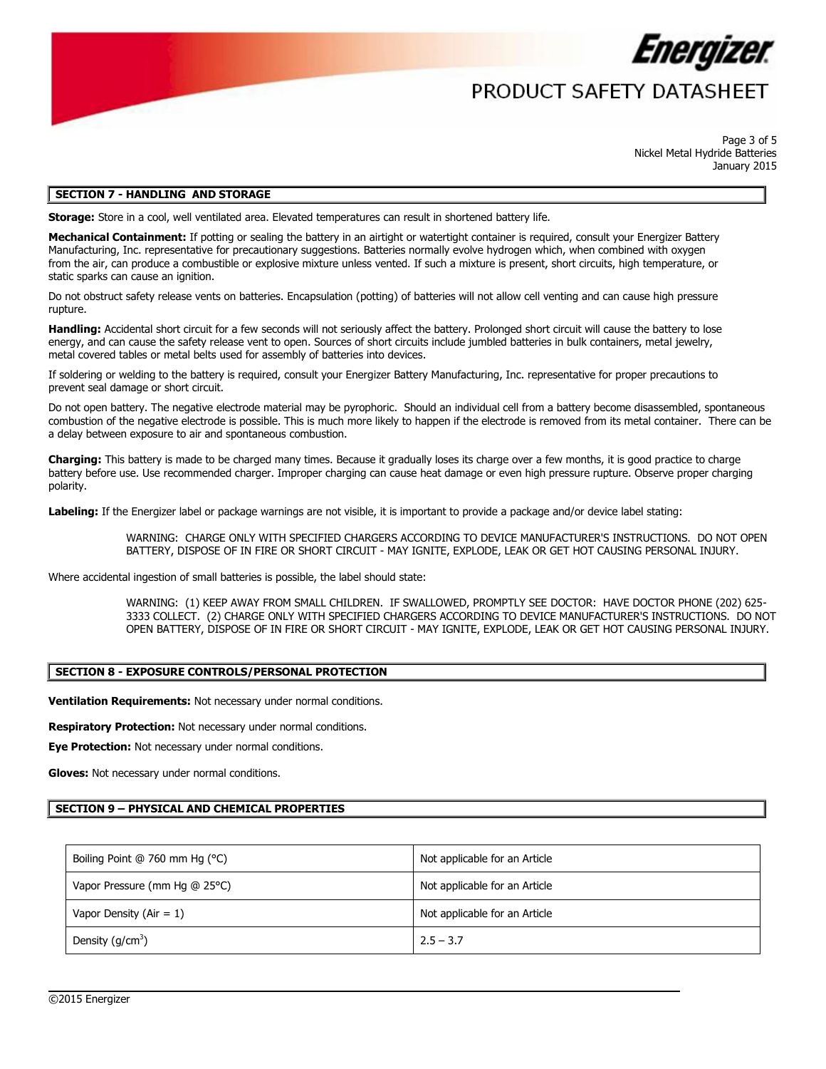

## PRODUCT SAFFTY DATASHFFT

Page 3 of 5 Nickel Metal Hydride Batteries January 2015

#### **SECTION 7 - HANDLING AND STORAGE**

**Storage:** Store in a cool, well ventilated area. Elevated temperatures can result in shortened battery life.

Mechanical Containment: If potting or sealing the battery in an airtight or watertight container is required, consult your Energizer Battery Manufacturing, Inc. representative for precautionary suggestions. Batteries normally evolve hydrogen which, when combined with oxygen from the air, can produce a combustible or explosive mixture unless vented. If such a mixture is present, short circuits, high temperature, or static sparks can cause an ignition.

Do not obstruct safety release vents on batteries. Encapsulation (potting) of batteries will not allow cell venting and can cause high pressure rupture.

**Handling:** Accidental short circuit for a few seconds will not seriously affect the battery. Prolonged short circuit will cause the battery to lose energy, and can cause the safety release vent to open. Sources of short circuits include jumbled batteries in bulk containers, metal jewelry, metal covered tables or metal belts used for assembly of batteries into devices.

If soldering or welding to the battery is required, consult your Energizer Battery Manufacturing, Inc. representative for proper precautions to prevent seal damage or short circuit.

Do not open battery. The negative electrode material may be pyrophoric. Should an individual cell from a battery become disassembled, spontaneous combustion of the negative electrode is possible. This is much more likely to happen if the electrode is removed from its metal container. There can be a delay between exposure to air and spontaneous combustion.

**Charging:** This battery is made to be charged many times. Because it gradually loses its charge over a few months, it is good practice to charge battery before use. Use recommended charger. Improper charging can cause heat damage or even high pressure rupture. Observe proper charging polarity.

**Labeling:** If the Energizer label or package warnings are not visible, it is important to provide a package and/or device label stating:

WARNING: CHARGE ONLY WITH SPECIFIED CHARGERS ACCORDING TO DEVICE MANUFACTURER'S INSTRUCTIONS. DO NOT OPEN BATTERY, DISPOSE OF IN FIRE OR SHORT CIRCUIT - MAY IGNITE, EXPLODE, LEAK OR GET HOT CAUSING PERSONAL INJURY.

Where accidental ingestion of small batteries is possible, the label should state:

WARNING: (1) KEEP AWAY FROM SMALL CHILDREN. IF SWALLOWED, PROMPTLY SEE DOCTOR: HAVE DOCTOR PHONE (202) 625- 3333 COLLECT. (2) CHARGE ONLY WITH SPECIFIED CHARGERS ACCORDING TO DEVICE MANUFACTURER'S INSTRUCTIONS. DO NOT OPEN BATTERY, DISPOSE OF IN FIRE OR SHORT CIRCUIT - MAY IGNITE, EXPLODE, LEAK OR GET HOT CAUSING PERSONAL INJURY.

## **SECTION 8 - EXPOSURE CONTROLS/PERSONAL PROTECTION**

**Ventilation Requirements:** Not necessary under normal conditions.

**Respiratory Protection:** Not necessary under normal conditions.

**Eye Protection:** Not necessary under normal conditions.

**Gloves:** Not necessary under normal conditions.

#### **SECTION 9 – PHYSICAL AND CHEMICAL PROPERTIES**

| Boiling Point @ 760 mm Hg (°C) | Not applicable for an Article |
|--------------------------------|-------------------------------|
| Vapor Pressure (mm Hg @ 25°C)  | Not applicable for an Article |
| Vapor Density ( $Air = 1$ )    | Not applicable for an Article |
| Density $(g/cm^3)$             | $2.5 - 3.7$                   |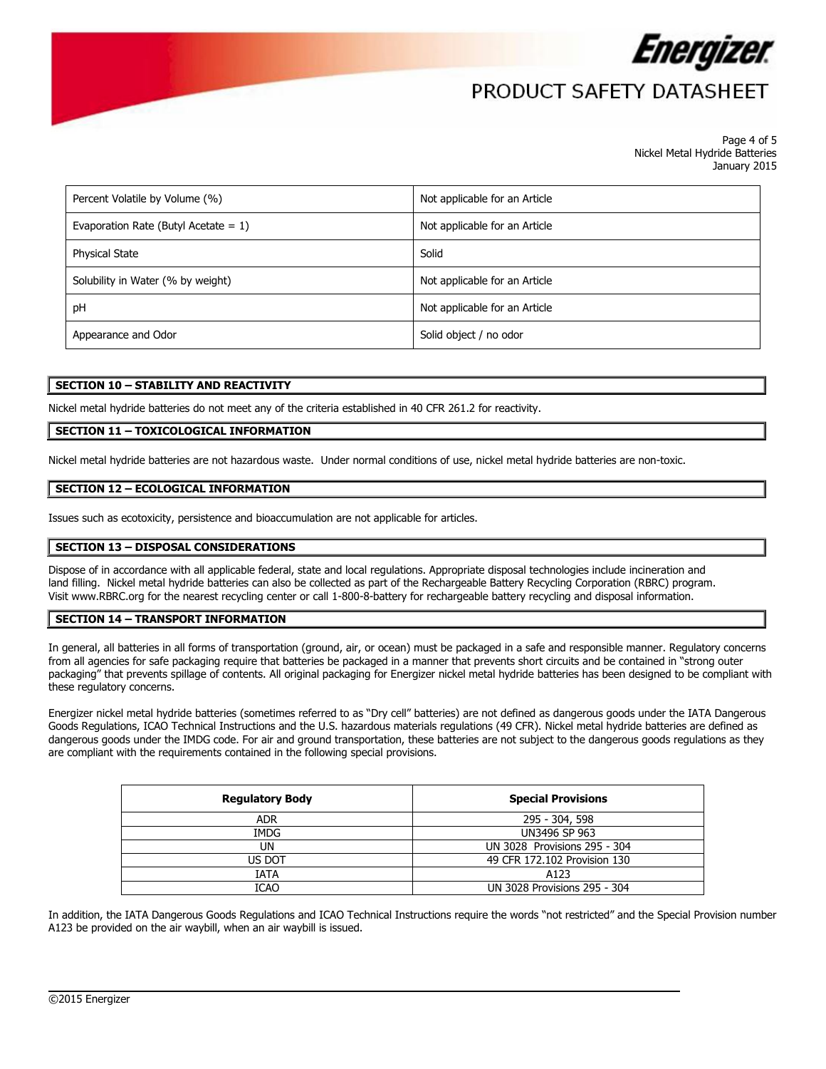

Page 4 of 5 Nickel Metal Hydride Batteries January 2015

| Percent Volatile by Volume (%)          | Not applicable for an Article |
|-----------------------------------------|-------------------------------|
| Evaporation Rate (Butyl Acetate = $1$ ) | Not applicable for an Article |
| <b>Physical State</b>                   | Solid                         |
| Solubility in Water (% by weight)       | Not applicable for an Article |
| рH                                      | Not applicable for an Article |
| Appearance and Odor                     | Solid object / no odor        |

#### **SECTION 10 – STABILITY AND REACTIVITY**

Nickel metal hydride batteries do not meet any of the criteria established in 40 CFR 261.2 for reactivity.

### **SECTION 11 – TOXICOLOGICAL INFORMATION**

Nickel metal hydride batteries are not hazardous waste. Under normal conditions of use, nickel metal hydride batteries are non-toxic.

#### **SECTION 12 – ECOLOGICAL INFORMATION**

Issues such as ecotoxicity, persistence and bioaccumulation are not applicable for articles.

#### **SECTION 13 – DISPOSAL CONSIDERATIONS**

Dispose of in accordance with all applicable federal, state and local regulations. Appropriate disposal technologies include incineration and land filling. Nickel metal hydride batteries can also be collected as part of the Rechargeable Battery Recycling Corporation (RBRC) program. Visit [www.RBRC.org](http://www.rbrc.org/) for the nearest recycling center or call 1-800-8-battery for rechargeable battery recycling and disposal information.

#### **SECTION 14 – TRANSPORT INFORMATION**

In general, all batteries in all forms of transportation (ground, air, or ocean) must be packaged in a safe and responsible manner. Regulatory concerns from all agencies for safe packaging require that batteries be packaged in a manner that prevents short circuits and be contained in "strong outer packaging" that prevents spillage of contents. All original packaging for Energizer nickel metal hydride batteries has been designed to be compliant with these regulatory concerns.

Energizer nickel metal hydride batteries (sometimes referred to as "Dry cell" batteries) are not defined as dangerous goods under the IATA Dangerous Goods Regulations, ICAO Technical Instructions and the U.S. hazardous materials regulations (49 CFR). Nickel metal hydride batteries are defined as dangerous goods under the IMDG code. For air and ground transportation, these batteries are not subject to the dangerous goods regulations as they are compliant with the requirements contained in the following special provisions.

| <b>Regulatory Body</b> | <b>Special Provisions</b>    |
|------------------------|------------------------------|
| <b>ADR</b>             | 295 - 304, 598               |
| IMDG                   | UN3496 SP 963                |
| UN                     | UN 3028 Provisions 295 - 304 |
| US DOT                 | 49 CFR 172.102 Provision 130 |
| IATA                   | A123                         |
| ICAO                   | UN 3028 Provisions 295 - 304 |

In addition, the IATA Dangerous Goods Regulations and ICAO Technical Instructions require the words "not restricted" and the Special Provision number A123 be provided on the air waybill, when an air waybill is issued.